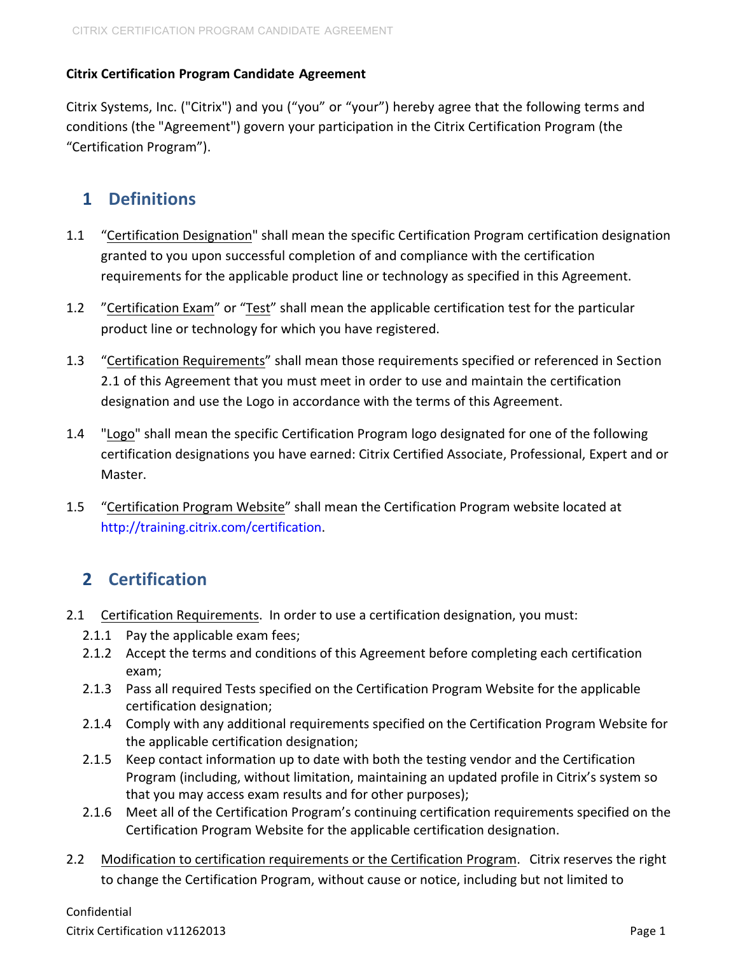#### **Citrix Certification Program Candidate Agreement**

Citrix Systems, Inc. ("Citrix") and you ("you" or "your") hereby agree that the following terms and conditions (the "Agreement") govern your participation in the Citrix Certification Program (the "Certification Program").

## **1 Definitions**

- 1.1 "Certification Designation" shall mean the specific Certification Program certification designation granted to you upon successful completion of and compliance with the certification requirements for the applicable product line or technology as specified in this Agreement.
- 1.2 "Certification Exam" or "Test" shall mean the applicable certification test for the particular product line or technology for which you have registered.
- 1.3 "Certification Requirements" shall mean those requirements specified or referenced in Section 2.1 of this Agreement that you must meet in order to use and maintain the certification designation and use the Logo in accordance with the terms of this Agreement.
- 1.4 "Logo" shall mean the specific Certification Program logo designated for one of the following certification designations you have earned: Citrix Certified Associate, Professional, Expert and or Master.
- 1.5 "Certification Program Website" shall mean the Certification Program website located at http://training.citrix.com/certification.

## **2 Certification**

- 2.1 Certification Requirements. In order to use a certification designation, you must:
	- 2.1.1 Pay the applicable exam fees;
	- 2.1.2 Accept the terms and conditions of this Agreement before completing each certification exam;
	- 2.1.3 Pass all required Tests specified on the Certification Program Website for the applicable certification designation;
	- 2.1.4 Comply with any additional requirements specified on the Certification Program Website for the applicable certification designation;
	- 2.1.5 Keep contact information up to date with both the testing vendor and the Certification Program (including, without limitation, maintaining an updated profile in Citrix's system so that you may access exam results and for other purposes);
	- 2.1.6 Meet all of the Certification Program's continuing certification requirements specified on the Certification Program Website for the applicable certification designation.
- 2.2 Modification to certification requirements or the Certification Program. Citrix reserves the right to change the Certification Program, without cause or notice, including but not limited to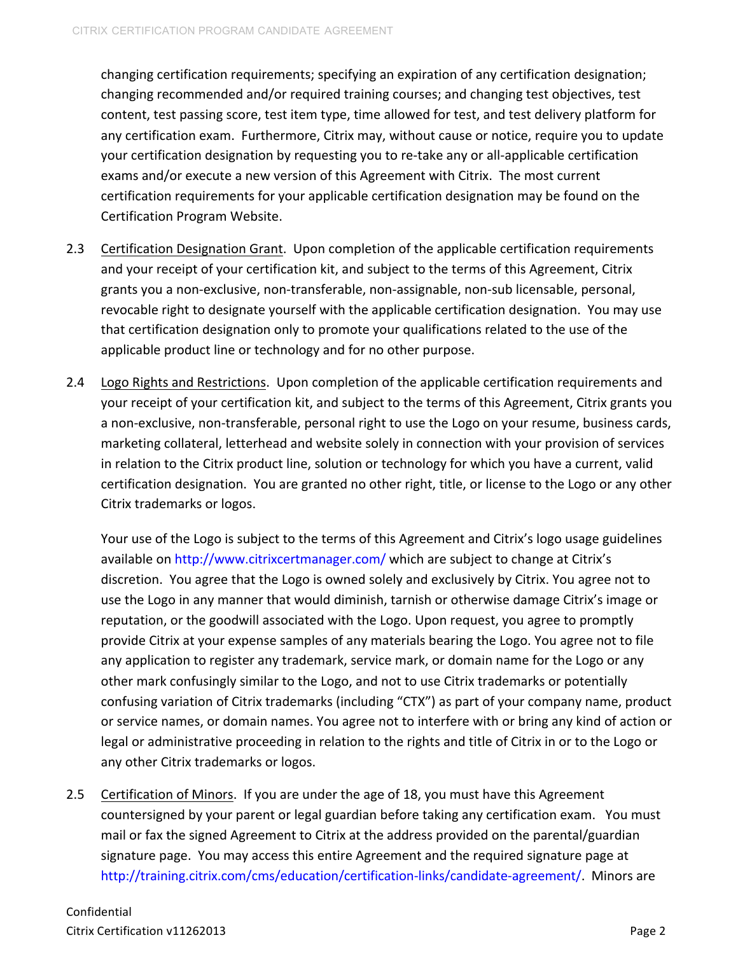changing certification requirements; specifying an expiration of any certification designation; changing recommended and/or required training courses; and changing test objectives, test content, test passing score, test item type, time allowed for test, and test delivery platform for any certification exam. Furthermore, Citrix may, without cause or notice, require you to update your certification designation by requesting you to re-take any or all-applicable certification exams and/or execute a new version of this Agreement with Citrix. The most current certification requirements for your applicable certification designation may be found on the Certification Program Website.

- 2.3 Certification Designation Grant. Upon completion of the applicable certification requirements and your receipt of your certification kit, and subject to the terms of this Agreement, Citrix grants you a non-exclusive, non-transferable, non-assignable, non-sub licensable, personal, revocable right to designate yourself with the applicable certification designation. You may use that certification designation only to promote your qualifications related to the use of the applicable product line or technology and for no other purpose.
- 2.4 Logo Rights and Restrictions. Upon completion of the applicable certification requirements and your receipt of your certification kit, and subject to the terms of this Agreement, Citrix grants you a non-exclusive, non-transferable, personal right to use the Logo on your resume, business cards, marketing collateral, letterhead and website solely in connection with your provision of services in relation to the Citrix product line, solution or technology for which you have a current, valid certification designation. You are granted no other right, title, or license to the Logo or any other Citrix trademarks or logos.

Your use of the Logo is subject to the terms of this Agreement and Citrix's logo usage guidelines available on http://www.citrixcertmanager.com/ which are subject to change at Citrix's discretion. You agree that the Logo is owned solely and exclusively by Citrix. You agree not to use the Logo in any manner that would diminish, tarnish or otherwise damage Citrix's image or reputation, or the goodwill associated with the Logo. Upon request, you agree to promptly provide Citrix at your expense samples of any materials bearing the Logo. You agree not to file any application to register any trademark, service mark, or domain name for the Logo or any other mark confusingly similar to the Logo, and not to use Citrix trademarks or potentially confusing variation of Citrix trademarks (including "CTX") as part of your company name, product or service names, or domain names. You agree not to interfere with or bring any kind of action or legal or administrative proceeding in relation to the rights and title of Citrix in or to the Logo or any other Citrix trademarks or logos.

2.5 Certification of Minors. If you are under the age of 18, you must have this Agreement countersigned by your parent or legal guardian before taking any certification exam. You must mail or fax the signed Agreement to Citrix at the address provided on the parental/guardian signature page. You may access this entire Agreement and the required signature page at http://training.citrix.com/cms/education/certification-links/candidate-agreement/. Minors are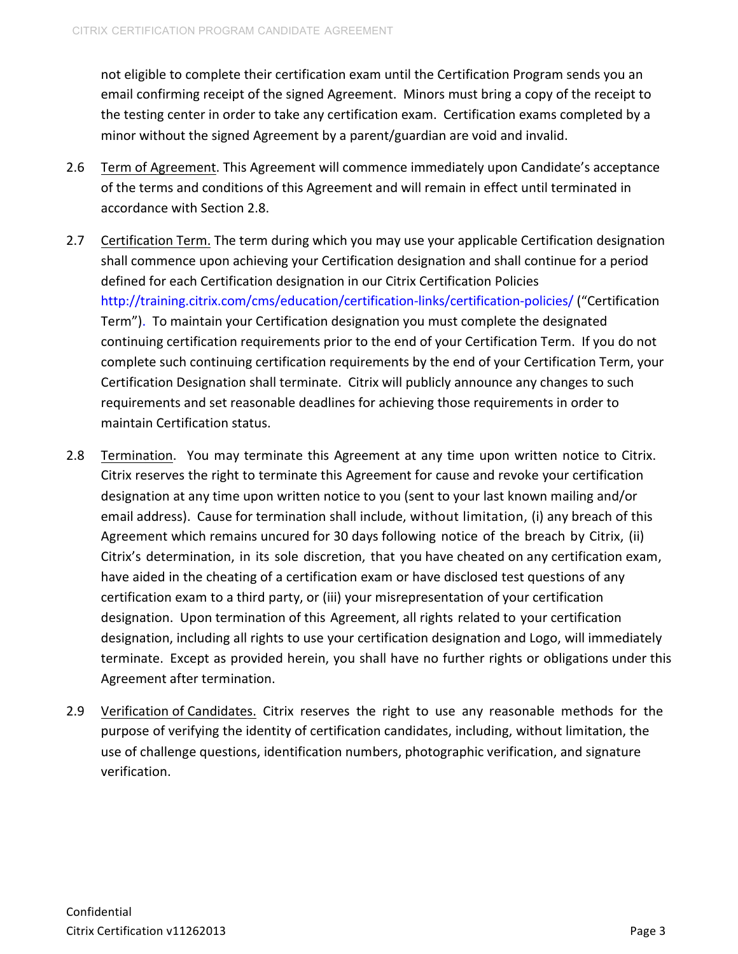not eligible to complete their certification exam until the Certification Program sends you an email confirming receipt of the signed Agreement. Minors must bring a copy of the receipt to the testing center in order to take any certification exam. Certification exams completed by a minor without the signed Agreement by a parent/guardian are void and invalid.

- 2.6 Term of Agreement. This Agreement will commence immediately upon Candidate's acceptance of the terms and conditions of this Agreement and will remain in effect until terminated in accordance with Section 2.8.
- 2.7 Certification Term. The term during which you may use your applicable Certification designation shall commence upon achieving your Certification designation and shall continue for a period defined for each Certification designation in our Citrix Certification Policies http://training.citrix.com/cms/education/certification-links/certification-policies/ ("Certification Term"). To maintain your Certification designation you must complete the designated continuing certification requirements prior to the end of your Certification Term. If you do not complete such continuing certification requirements by the end of your Certification Term, your Certification Designation shall terminate. Citrix will publicly announce any changes to such requirements and set reasonable deadlines for achieving those requirements in order to maintain Certification status.
- 2.8 Termination. You may terminate this Agreement at any time upon written notice to Citrix. Citrix reserves the right to terminate this Agreement for cause and revoke your certification designation at any time upon written notice to you (sent to your last known mailing and/or email address). Cause for termination shall include, without limitation, (i) any breach of this Agreement which remains uncured for 30 days following notice of the breach by Citrix, (ii) Citrix's determination, in its sole discretion, that you have cheated on any certification exam, have aided in the cheating of a certification exam or have disclosed test questions of any certification exam to a third party, or (iii) your misrepresentation of your certification designation. Upon termination of this Agreement, all rights related to your certification designation, including all rights to use your certification designation and Logo, will immediately terminate. Except as provided herein, you shall have no further rights or obligations under this Agreement after termination.
- 2.9 Verification of Candidates. Citrix reserves the right to use any reasonable methods for the purpose of verifying the identity of certification candidates, including, without limitation, the use of challenge questions, identification numbers, photographic verification, and signature verification.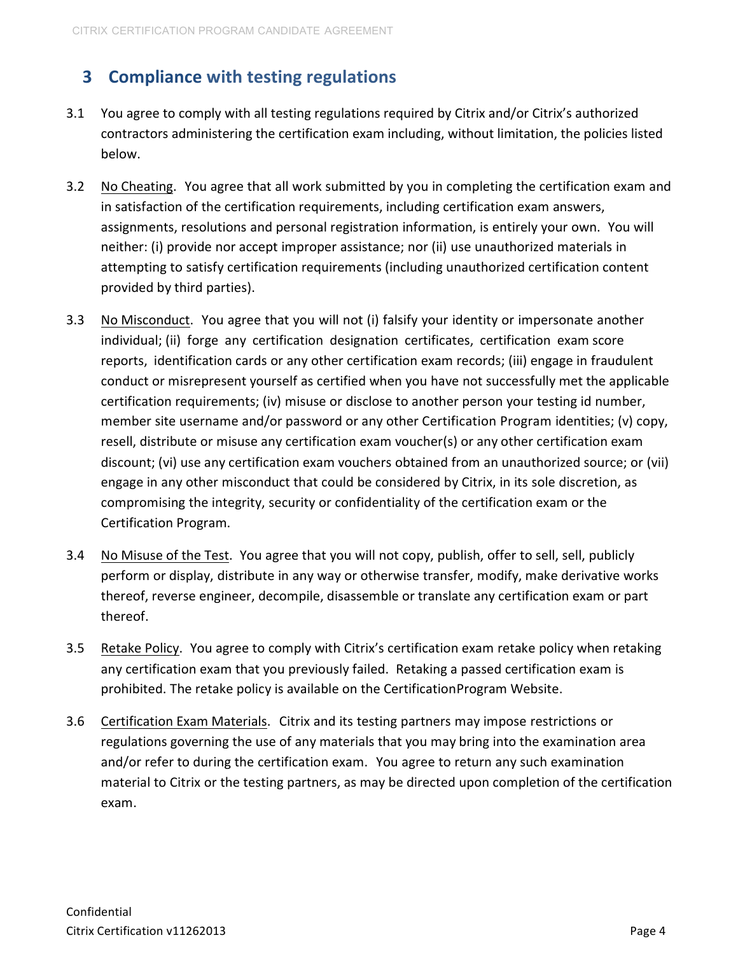## **3 Compliance with testing regulations**

- 3.1 You agree to comply with all testing regulations required by Citrix and/or Citrix's authorized contractors administering the certification exam including, without limitation, the policies listed below.
- 3.2 No Cheating. You agree that all work submitted by you in completing the certification exam and in satisfaction of the certification requirements, including certification exam answers, assignments, resolutions and personal registration information, is entirely your own. You will neither: (i) provide nor accept improper assistance; nor (ii) use unauthorized materials in attempting to satisfy certification requirements (including unauthorized certification content provided by third parties).
- 3.3 No Misconduct. You agree that you will not (i) falsify your identity or impersonate another individual; (ii) forge any certification designation certificates, certification exam score reports, identification cards or any other certification exam records; (iii) engage in fraudulent conduct or misrepresent yourself as certified when you have not successfully met the applicable certification requirements; (iv) misuse or disclose to another person your testing id number, member site username and/or password or any other Certification Program identities; (v) copy, resell, distribute or misuse any certification exam voucher(s) or any other certification exam discount; (vi) use any certification exam vouchers obtained from an unauthorized source; or (vii) engage in any other misconduct that could be considered by Citrix, in its sole discretion, as compromising the integrity, security or confidentiality of the certification exam or the Certification Program.
- 3.4 No Misuse of the Test. You agree that you will not copy, publish, offer to sell, sell, publicly perform or display, distribute in any way or otherwise transfer, modify, make derivative works thereof, reverse engineer, decompile, disassemble or translate any certification exam or part thereof.
- 3.5 Retake Policy. You agree to comply with Citrix's certification exam retake policy when retaking any certification exam that you previously failed. Retaking a passed certification exam is prohibited. The retake policy is available on the CertificationProgram Website.
- 3.6 Certification Exam Materials. Citrix and its testing partners may impose restrictions or regulations governing the use of any materials that you may bring into the examination area and/or refer to during the certification exam. You agree to return any such examination material to Citrix or the testing partners, as may be directed upon completion of the certification exam.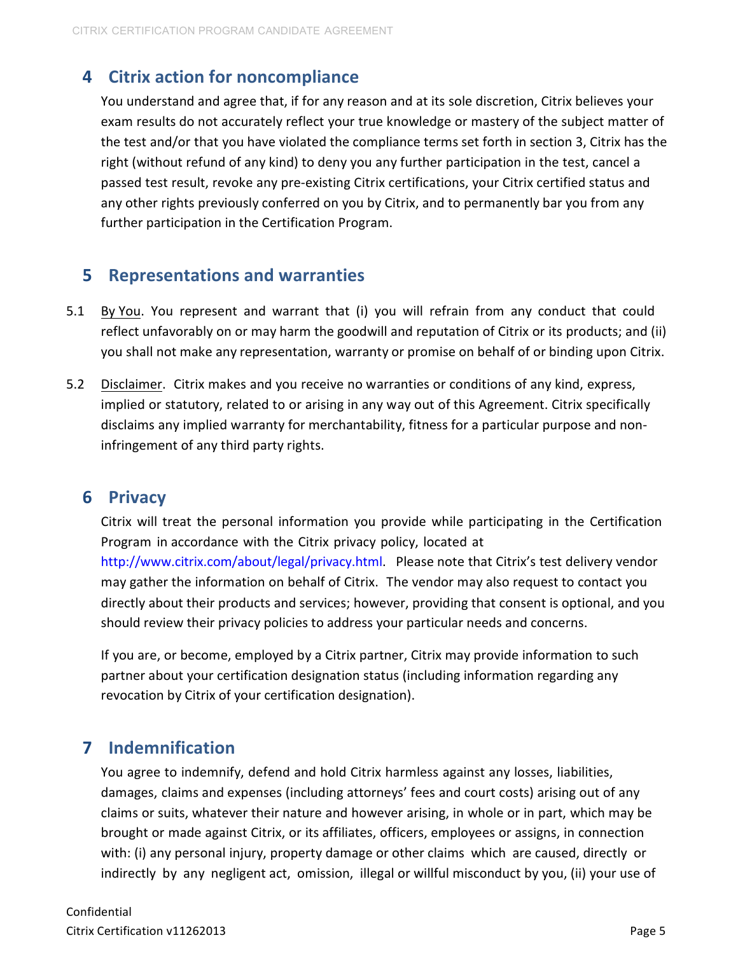### **4 Citrix action for noncompliance**

You understand and agree that, if for any reason and at its sole discretion, Citrix believes your exam results do not accurately reflect your true knowledge or mastery of the subject matter of the test and/or that you have violated the compliance terms set forth in section 3, Citrix has the right (without refund of any kind) to deny you any further participation in the test, cancel a passed test result, revoke any pre-existing Citrix certifications, your Citrix certified status and any other rights previously conferred on you by Citrix, and to permanently bar you from any further participation in the Certification Program.

#### **5** Representations and warranties

- 5.1 By You. You represent and warrant that (i) you will refrain from any conduct that could reflect unfavorably on or may harm the goodwill and reputation of Citrix or its products; and (ii) you shall not make any representation, warranty or promise on behalf of or binding upon Citrix.
- 5.2 Disclaimer. Citrix makes and you receive no warranties or conditions of any kind, express, implied or statutory, related to or arising in any way out of this Agreement. Citrix specifically disclaims any implied warranty for merchantability, fitness for a particular purpose and noninfringement of any third party rights.

#### **6 Privacy**

Citrix will treat the personal information you provide while participating in the Certification Program in accordance with the Citrix privacy policy, located at http://www.citrix.com/about/legal/privacy.html. Please note that Citrix's test delivery vendor may gather the information on behalf of Citrix. The vendor may also request to contact you directly about their products and services; however, providing that consent is optional, and you should review their privacy policies to address your particular needs and concerns.

If you are, or become, employed by a Citrix partner, Citrix may provide information to such partner about your certification designation status (including information regarding any revocation by Citrix of your certification designation).

#### **7 Indemnification**

You agree to indemnify, defend and hold Citrix harmless against any losses, liabilities, damages, claims and expenses (including attorneys' fees and court costs) arising out of any claims or suits, whatever their nature and however arising, in whole or in part, which may be brought or made against Citrix, or its affiliates, officers, employees or assigns, in connection with: (i) any personal injury, property damage or other claims which are caused, directly or indirectly by any negligent act, omission, illegal or willful misconduct by you, (ii) your use of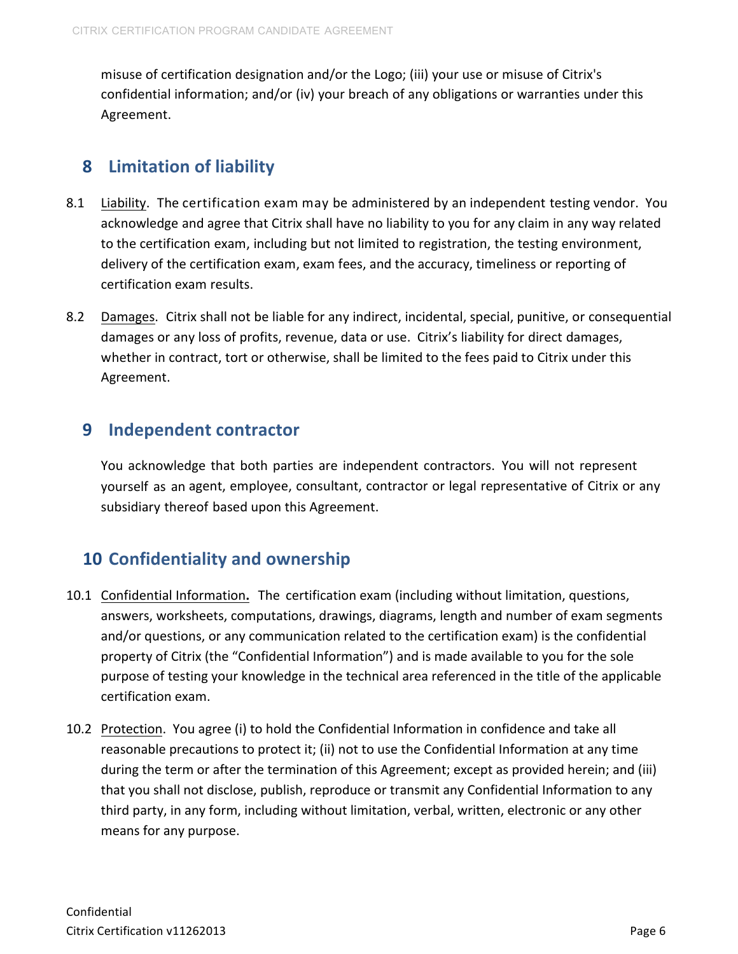misuse of certification designation and/or the Logo; (iii) your use or misuse of Citrix's confidential information; and/or (iv) your breach of any obligations or warranties under this Agreement.

## **8** Limitation of liability

- 8.1 Liability. The certification exam may be administered by an independent testing vendor. You acknowledge and agree that Citrix shall have no liability to you for any claim in any way related to the certification exam, including but not limited to registration, the testing environment, delivery of the certification exam, exam fees, and the accuracy, timeliness or reporting of certification exam results.
- 8.2 Damages. Citrix shall not be liable for any indirect, incidental, special, punitive, or consequential damages or any loss of profits, revenue, data or use. Citrix's liability for direct damages, whether in contract, tort or otherwise, shall be limited to the fees paid to Citrix under this Agreement.

### **9** Independent contractor

You acknowledge that both parties are independent contractors. You will not represent yourself as an agent, employee, consultant, contractor or legal representative of Citrix or any subsidiary thereof based upon this Agreement.

## **10 Confidentiality and ownership**

- 10.1 Confidential Information**.** The certification exam (including without limitation, questions, answers, worksheets, computations, drawings, diagrams, length and number of exam segments and/or questions, or any communication related to the certification exam) is the confidential property of Citrix (the "Confidential Information") and is made available to you for the sole purpose of testing your knowledge in the technical area referenced in the title of the applicable certification exam.
- 10.2 Protection. You agree (i) to hold the Confidential Information in confidence and take all reasonable precautions to protect it; (ii) not to use the Confidential Information at any time during the term or after the termination of this Agreement; except as provided herein; and (iii) that you shall not disclose, publish, reproduce or transmit any Confidential Information to any third party, in any form, including without limitation, verbal, written, electronic or any other means for any purpose.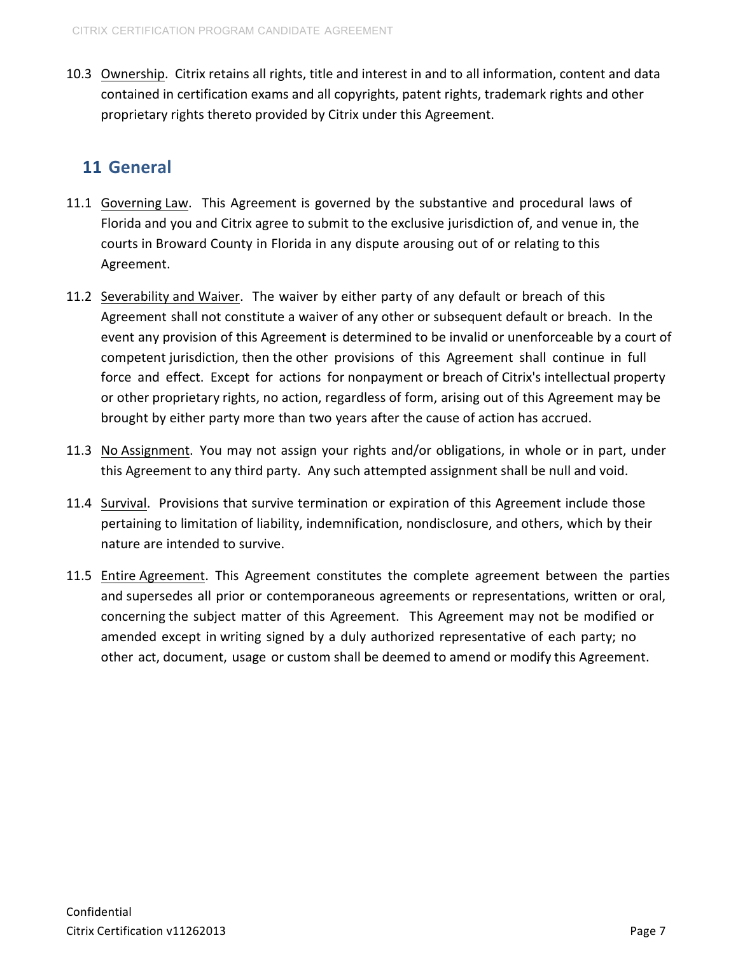10.3 Ownership. Citrix retains all rights, title and interest in and to all information, content and data contained in certification exams and all copyrights, patent rights, trademark rights and other proprietary rights thereto provided by Citrix under this Agreement.

## **11 General**

- 11.1 Governing Law. This Agreement is governed by the substantive and procedural laws of Florida and you and Citrix agree to submit to the exclusive jurisdiction of, and venue in, the courts in Broward County in Florida in any dispute arousing out of or relating to this Agreement.
- 11.2 Severability and Waiver. The waiver by either party of any default or breach of this Agreement shall not constitute a waiver of any other or subsequent default or breach. In the event any provision of this Agreement is determined to be invalid or unenforceable by a court of competent jurisdiction, then the other provisions of this Agreement shall continue in full force and effect. Except for actions for nonpayment or breach of Citrix's intellectual property or other proprietary rights, no action, regardless of form, arising out of this Agreement may be brought by either party more than two years after the cause of action has accrued.
- 11.3 No Assignment. You may not assign your rights and/or obligations, in whole or in part, under this Agreement to any third party. Any such attempted assignment shall be null and void.
- 11.4 Survival. Provisions that survive termination or expiration of this Agreement include those pertaining to limitation of liability, indemnification, nondisclosure, and others, which by their nature are intended to survive.
- 11.5 Entire Agreement. This Agreement constitutes the complete agreement between the parties and supersedes all prior or contemporaneous agreements or representations, written or oral, concerning the subject matter of this Agreement. This Agreement may not be modified or amended except in writing signed by a duly authorized representative of each party; no other act, document, usage or custom shall be deemed to amend or modify this Agreement.